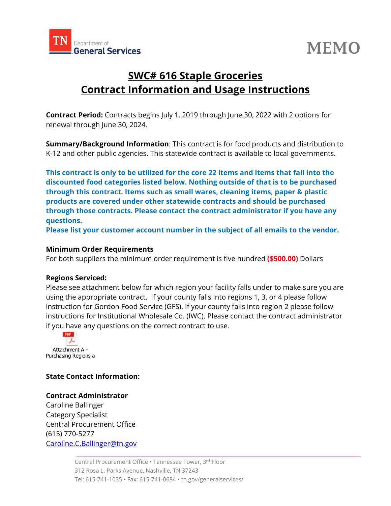



# **SWC# 616 Staple Groceries Contract Information and Usage Instructions**

**Contract Period:** Contracts begins July 1, 2019 through June 30, 2022 with 2 options for renewal through June 30, 2024.

**Summary/Background Information**: This contract is for food products and distribution to K-12 and other public agencies. This statewide contract is available to local governments.

**This contract is only to be utilized for the core 22 items and items that fall into the discounted food categories listed below. Nothing outside of that is to be purchased through this contract. Items such as small wares, cleaning items, paper & plastic products are covered under other statewide contracts and should be purchased through those contracts. Please contact the contract administrator if you have any questions.** 

**Please list your customer account number in the subject of all emails to the vendor.** 

# **Minimum Order Requirements**

For both suppliers the minimum order requirement is five hundred **(\$500.00)** Dollars

#### **Regions Serviced:**

Please see attachment below for which region your facility falls under to make sure you are using the appropriate contract. If your county falls into regions 1, 3, or 4 please follow instruction for Gordon Food Service (GFS). If your county falls into region 2 please follow instructions for Institutional Wholesale Co. (IWC). Please contact the contract administrator if you have any questions on the correct contract to use.



# **State Contact Information:**

# **Contract Administrator**

Caroline Ballinger Category Specialist Central Procurement Office (615) 770-5277 Caroline.C.Ballinger@tn.gov

> Central Procurement Office • Tennessee Tower, 3rd Floor 312 Rosa L. Parks Avenue, Nashville, TN 37243 Tel: 615-741-1035 • Fax: 615-741-0684 • tn.gov/generalservices/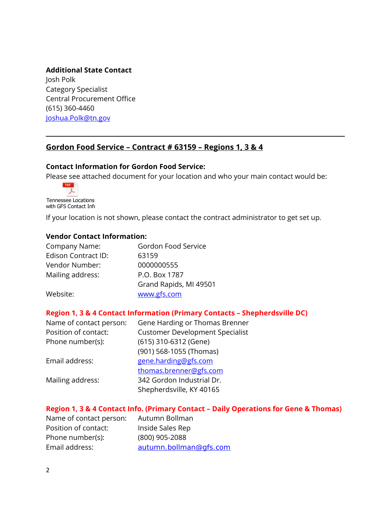# **Additional State Contact**

Josh Polk Category Specialist Central Procurement Office (615) 360-4460 Joshua.Polk@tn.gov

# **Gordon Food Service – Contract # 63159 – Regions 1, 3 & 4**

## **Contact Information for Gordon Food Service:**

Please see attached document for your location and who your main contact would be:

PDF ーム Tennessee Locations with GFS Contact Info

If your location is not shown, please contact the contract administrator to get set up.

#### **Vendor Contact Information:**

| Company Name:       | Gordon Food Service    |
|---------------------|------------------------|
| Edison Contract ID: | 63159                  |
| Vendor Number:      | 0000000555             |
| Mailing address:    | P.O. Box 1787          |
|                     | Grand Rapids, MI 49501 |
| Website:            | www.gfs.com            |

#### **Region 1, 3 & 4 Contact Information (Primary Contacts – Shepherdsville DC)**

| Gene Harding or Thomas Brenner         |
|----------------------------------------|
| <b>Customer Development Specialist</b> |
| (615) 310-6312 (Gene)                  |
| (901) 568-1055 (Thomas)                |
| gene.harding@gfs.com                   |
| thomas.brenner@gfs.com                 |
| 342 Gordon Industrial Dr.              |
| Shepherdsville, KY 40165               |
|                                        |

#### **Region 1, 3 & 4 Contact Info. (Primary Contact – Daily Operations for Gene & Thomas)**

Name of contact person: Autumn Bollman Position of contact: Inside Sales Rep Phone number(s): (800) 905-2088 Email address: autumn.bollman@gfs.com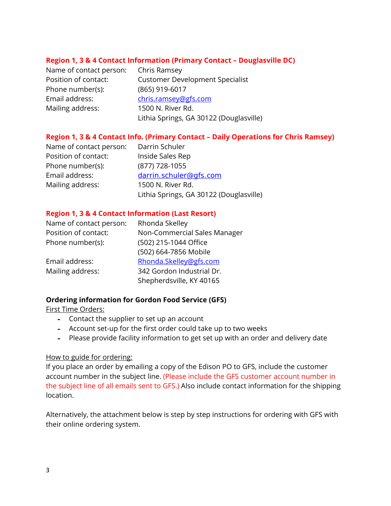# **Region 1, 3 & 4 Contact Information (Primary Contact – Douglasville DC)**

Name of contact person: Chris Ramsey Phone number(s): (865) 919-6017 Email address: chris.ramsey@gfs.com Mailing address: 1500 N. River Rd.

Position of contact: Customer Development Specialist Lithia Springs, GA 30122 (Douglasville)

## **Region 1, 3 & 4 Contact Info. (Primary Contact – Daily Operations for Chris Ramsey)**

Name of contact person: Darrin Schuler Position of contact: Inside Sales Rep Phone number(s): (877) 728-1055 Email address: darrin.schuler@gfs.com Mailing address: 1500 N. River Rd. Lithia Springs, GA 30122 (Douglasville)

#### **Region 1, 3 & 4 Contact Information (Last Resort)**

| Rhonda Skelley               |
|------------------------------|
| Non-Commercial Sales Manager |
| (502) 215-1044 Office        |
| (502) 664-7856 Mobile        |
| Rhonda.Skelley@gfs.com       |
| 342 Gordon Industrial Dr.    |
| Shepherdsville, KY 40165     |
|                              |

#### **Ordering information for Gordon Food Service (GFS)**

First Time Orders:

- **-** Contact the supplier to set up an account
- **-** Account set-up for the first order could take up to two weeks
- **-** Please provide facility information to get set up with an order and delivery date

#### How to guide for ordering:

If you place an order by emailing a copy of the Edison PO to GFS, include the customer account number in the subject line. (Please include the GFS customer account number in the subject line of all emails sent to GFS.) Also include contact information for the shipping location.

Alternatively, the attachment below is step by step instructions for ordering with GFS with their online ordering system.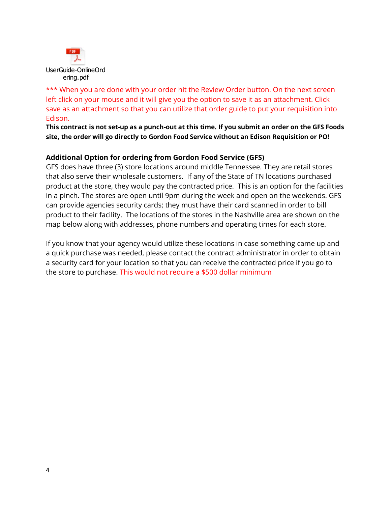

\*\*\* When you are done with your order hit the Review Order button. On the next screen left click on your mouse and it will give you the option to save it as an attachment. Click save as an attachment so that you can utilize that order guide to put your requisition into Edison.

**This contract is not set-up as a punch-out at this time. If you submit an order on the GFS Foods site, the order will go directly to Gordon Food Service without an Edison Requisition or PO!** 

# **Additional Option for ordering from Gordon Food Service (GFS)**

GFS does have three (3) store locations around middle Tennessee. They are retail stores that also serve their wholesale customers. If any of the State of TN locations purchased product at the store, they would pay the contracted price. This is an option for the facilities in a pinch. The stores are open until 9pm during the week and open on the weekends. GFS can provide agencies security cards; they must have their card scanned in order to bill product to their facility. The locations of the stores in the Nashville area are shown on the map below along with addresses, phone numbers and operating times for each store.

If you know that your agency would utilize these locations in case something came up and a quick purchase was needed, please contact the contract administrator in order to obtain a security card for your location so that you can receive the contracted price if you go to the store to purchase. This would not require a \$500 dollar minimum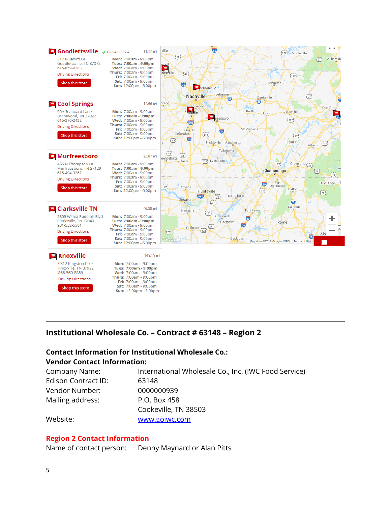

# **Institutional Wholesale Co. – Contract # 63148 – Region 2**

# **Contact Information for Institutional Wholesale Co.: Vendor Contact Information:**

| Company Name:       | International Wholesale Co., Inc. (IWC Food Service) |
|---------------------|------------------------------------------------------|
| Edison Contract ID: | 63148                                                |
| Vendor Number:      | 0000000939                                           |
| Mailing address:    | P.O. Box 458                                         |
|                     | Cookeville, TN 38503                                 |
| Website:            | www.goiwc.com                                        |

#### **Region 2 Contact Information**

Name of contact person: Denny Maynard or Alan Pitts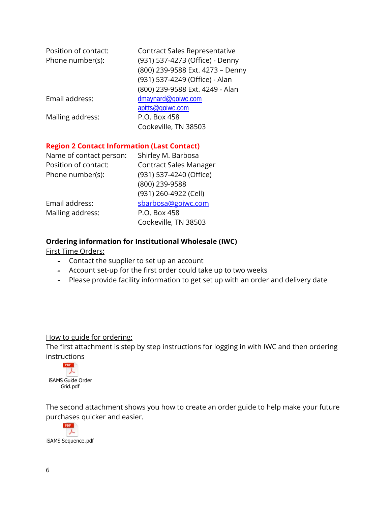| Position of contact:<br>Phone number(s): | Contract Sales Representative<br>(931) 537-4273 (Office) - Denny<br>(800) 239-9588 Ext. 4273 - Denny<br>(931) 537-4249 (Office) - Alan |
|------------------------------------------|----------------------------------------------------------------------------------------------------------------------------------------|
|                                          | (800) 239-9588 Ext. 4249 - Alan                                                                                                        |
| Email address:                           | dmaynard@goiwc.com                                                                                                                     |
|                                          | apitts@goiwc.com                                                                                                                       |
| Mailing address:                         | P.O. Box 458                                                                                                                           |
|                                          | Cookeville, TN 38503                                                                                                                   |

# **Region 2 Contact Information (Last Contact)**

| Name of contact person: | Shirley M. Barbosa            |
|-------------------------|-------------------------------|
| Position of contact:    | <b>Contract Sales Manager</b> |
| Phone number(s):        | (931) 537-4240 (Office)       |
|                         | (800) 239-9588                |
|                         | (931) 260-4922 (Cell)         |
| Email address:          | sbarbosa@goiwc.com            |
| Mailing address:        | P.O. Box 458                  |
|                         | Cookeville, TN 38503          |
|                         |                               |

# **Ordering information for Institutional Wholesale (IWC)**

First Time Orders:

- **-** Contact the supplier to set up an account
- **-** Account set-up for the first order could take up to two weeks
- **-** Please provide facility information to get set up with an order and delivery date

## How to guide for ordering:

The first attachment is step by step instructions for logging in with IWC and then ordering instructions



The second attachment shows you how to create an order guide to help make your future purchases quicker and easier.

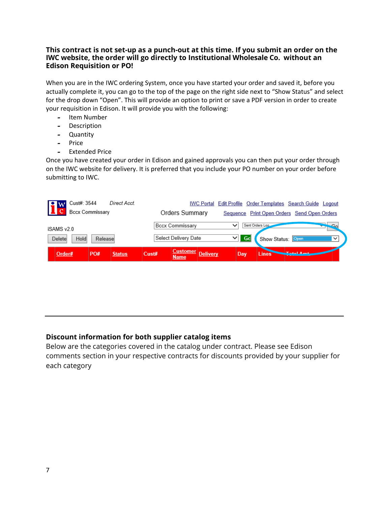## **This contract is not set-up as a punch-out at this time. If you submit an order on the IWC website, the order will go directly to Institutional Wholesale Co. without an Edison Requisition or PO!**

When you are in the IWC ordering System, once you have started your order and saved it, before you actually complete it, you can go to the top of the page on the right side next to "Show Status" and select for the drop down "Open". This will provide an option to print or save a PDF version in order to create your requisition in Edison. It will provide you with the following:

- **-** Item Number
- **-** Description
- **-** Quantity
- **-** Price
- **-** Extended Price

Once you have created your order in Edison and gained approvals you can then put your order through on the IWC website for delivery. It is preferred that you include your PO number on your order before submitting to IWC.

| Cust#: 3544<br>Direct Acct.<br>w | Edit Profile Order Templates Search Guide Logout<br><b>IWC Portal</b>             |                     |
|----------------------------------|-----------------------------------------------------------------------------------|---------------------|
| <b>Bccx Commissary</b>           | Orders Summary<br>Sequence Print Open Orders Send Open Orders                     |                     |
| iSAMS v2.0                       | Sent Orders Log<br>Bccx Commissarv<br>$\checkmark$                                |                     |
| Hold<br>Release<br>Delete        | Select Delivery Date<br>Gd<br>$\checkmark$<br>Show Status:                        | Open<br>$\check{ }$ |
| PO#<br>Order#<br><b>Status</b>   | <b>Customer</b><br><b>Delivery</b><br>Cust#<br><b>Lines</b><br>Day<br><b>Name</b> | <b>Tatal And</b>    |

# **Discount information for both supplier catalog items**

Below are the categories covered in the catalog under contract. Please see Edison comments section in your respective contracts for discounts provided by your supplier for each category